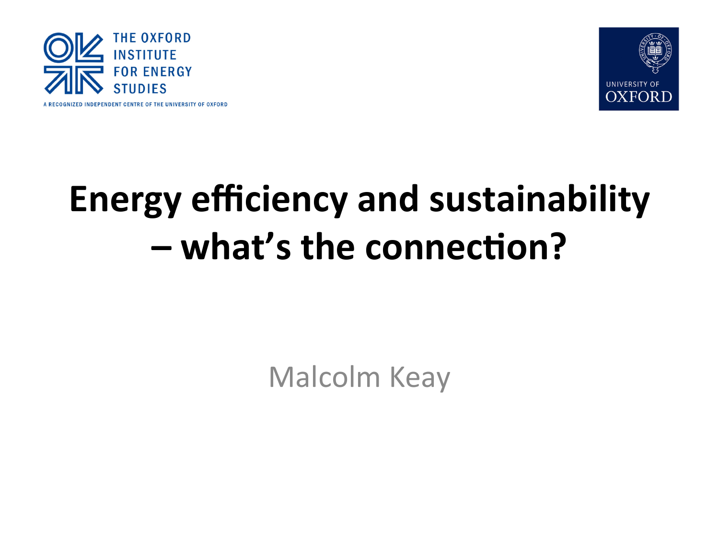



#### **Energy efficiency and sustainability**  $-$  what's the connection?

Malcolm Keay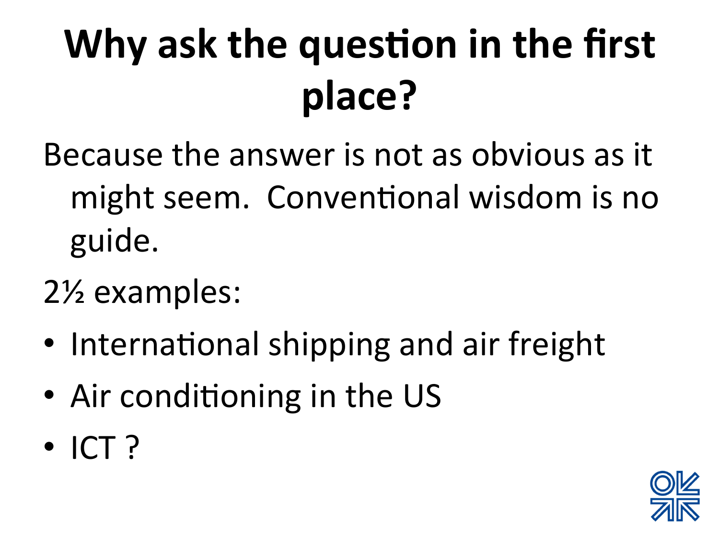# **Why ask the question in the first place?**

- Because the answer is not as obvious as it might seem. Conventional wisdom is no guide.
- 2<sup>1/2</sup> examples:
- International shipping and air freight
- Air conditioning in the US
- $\cdot$  ICT ?

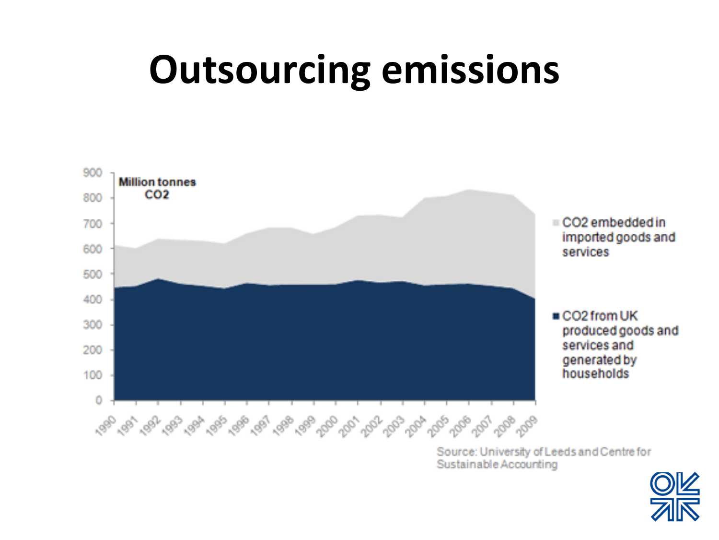#### **Outsourcing emissions**



Source: University of Leeds and Centre for Sustainable Accounting

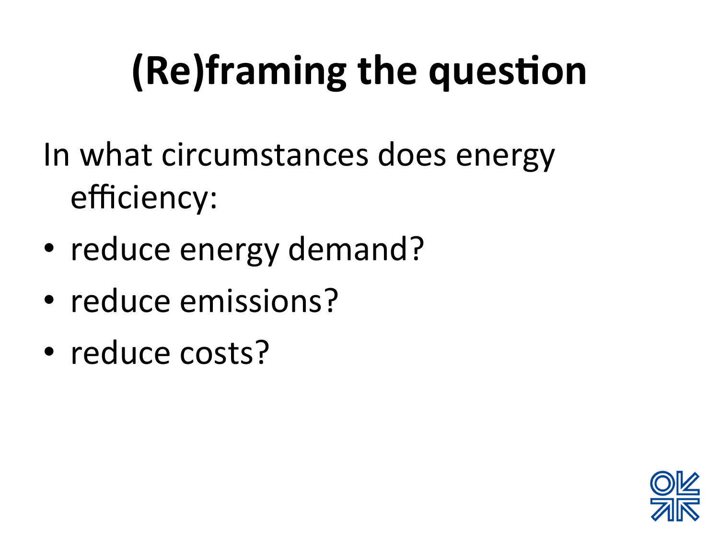# **(Re)framing the question**

In what circumstances does energy efficiency: 

- reduce energy demand?
- reduce emissions?
- reduce costs?

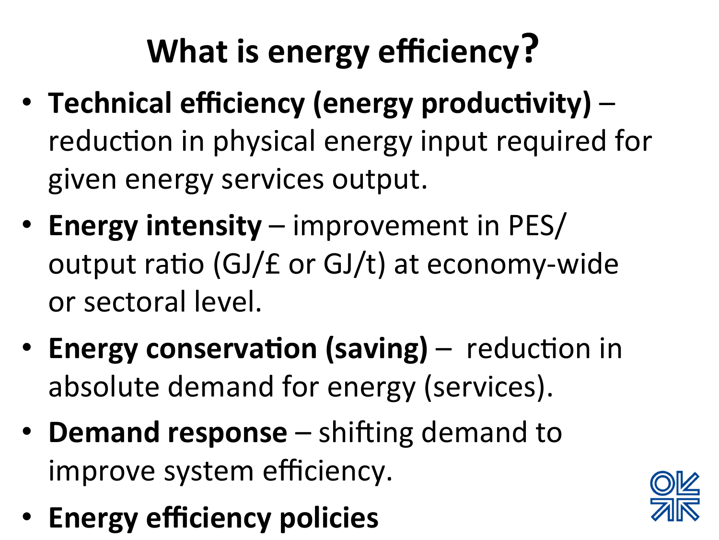#### **What is energy efficiency?**

- Technical efficiency (energy productivity) reduction in physical energy input required for given energy services output.
- **Energy intensity** improvement in PES/ output ratio (GJ/ $f$  or GJ/t) at economy-wide or sectoral level.
- **Energy conservation (saving)** reduction in absolute demand for energy (services).
- **Demand response** shifting demand to improve system efficiency.
- **Energy efficiency policies**

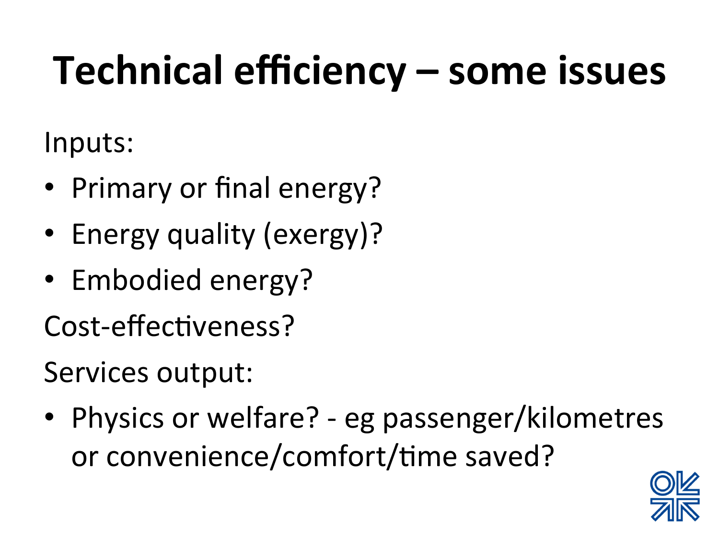#### Technical efficiency – some issues

Inputs: 

- Primary or final energy?
- Energy quality (exergy)?
- Embodied energy?

Cost-effectiveness?

Services output:

• Physics or welfare? - eg passenger/kilometres or convenience/comfort/time saved?

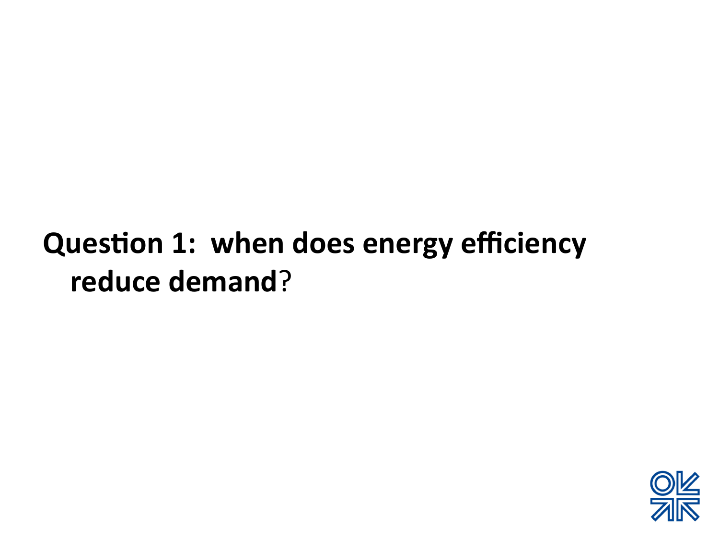#### **Question 1: when does energy efficiency** reduce demand?

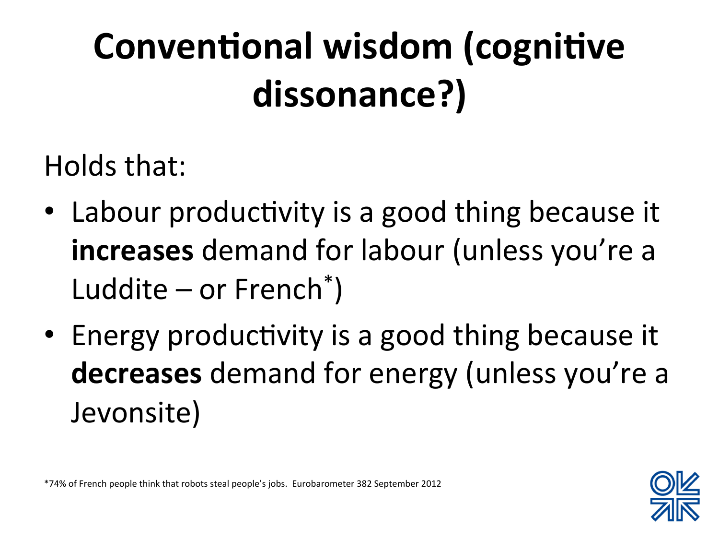#### **Conventional wisdom (cognitive** dissonance?)

Holds that:

- Labour productivity is a good thing because it **increases** demand for labour (unless you're a Luddite  $-$  or French<sup>\*</sup>)
- Energy productivity is a good thing because it **decreases** demand for energy (unless you're a Jevonsite)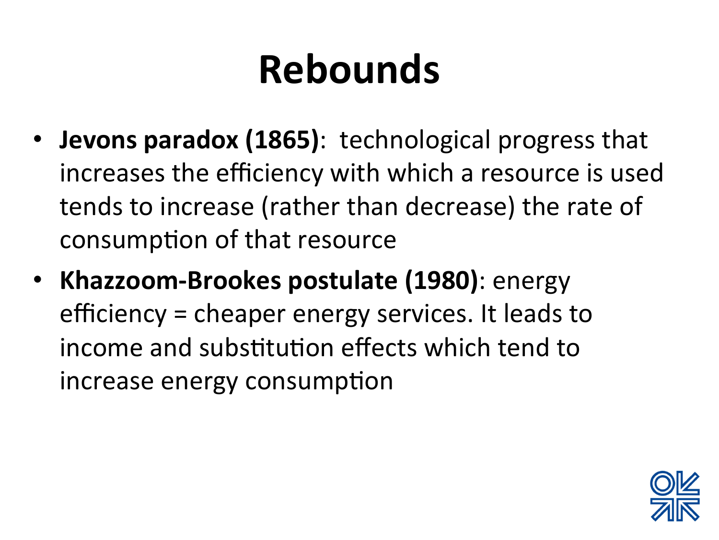#### **Rebounds**

- **Jevons paradox (1865)**: technological progress that increases the efficiency with which a resource is used tends to increase (rather than decrease) the rate of consumption of that resource
- Khazzoom-Brookes postulate (1980): energy efficiency = cheaper energy services. It leads to income and substitution effects which tend to increase energy consumption

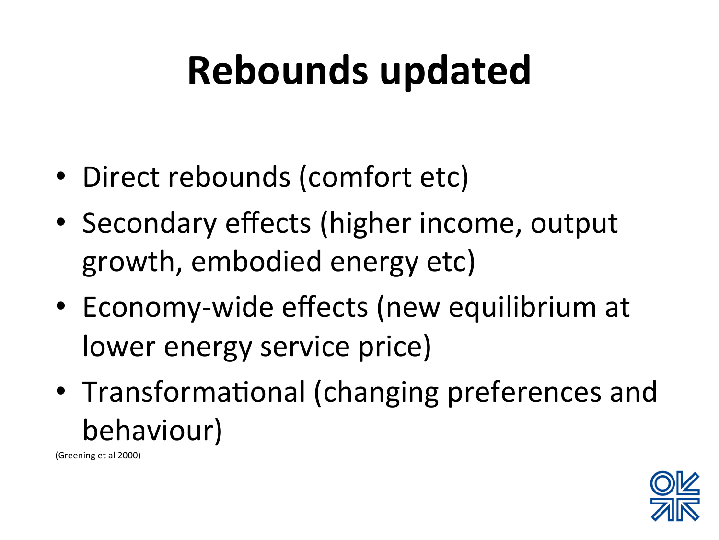### **Rebounds updated**

- Direct rebounds (comfort etc)
- Secondary effects (higher income, output growth, embodied energy etc)
- Economy-wide effects (new equilibrium at lower energy service price)
- Transformational (changing preferences and behaviour)

(Greening et al 2000)

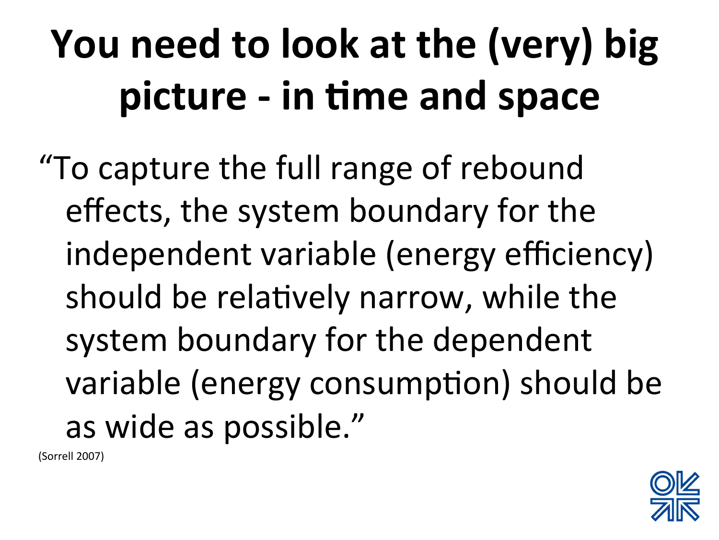# **You need to look at the (very) big** picture - in time and space

"To capture the full range of rebound effects, the system boundary for the independent variable (energy efficiency) should be relatively narrow, while the system boundary for the dependent variable (energy consumption) should be as wide as possible."

(Sorrell 2007)

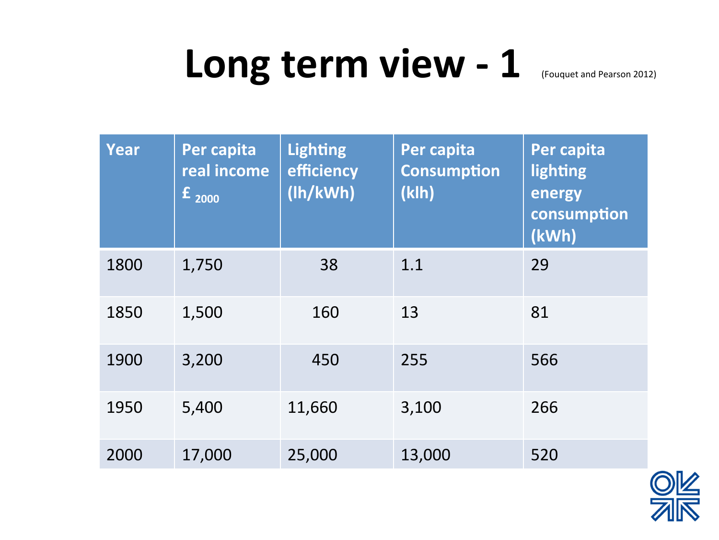#### Long term view - 1

|  | Year | Per capita<br>real income<br>$\mathbf{f}_{2000}$ | <b>Lighting</b><br>efficiency<br>(lh/kWh) | Per capita<br><b>Consumption</b><br>(klh) | Per capita<br>lighting<br>energy<br>consumption<br>(kWh) |  |
|--|------|--------------------------------------------------|-------------------------------------------|-------------------------------------------|----------------------------------------------------------|--|
|  | 1800 | 1,750                                            | 38                                        | 1.1                                       | 29                                                       |  |
|  | 1850 | 1,500                                            | 160                                       | 13                                        | 81                                                       |  |
|  | 1900 | 3,200                                            | 450                                       | 255                                       | 566                                                      |  |
|  | 1950 | 5,400                                            | 11,660                                    | 3,100                                     | 266                                                      |  |
|  | 2000 | 17,000                                           | 25,000                                    | 13,000                                    | 520                                                      |  |

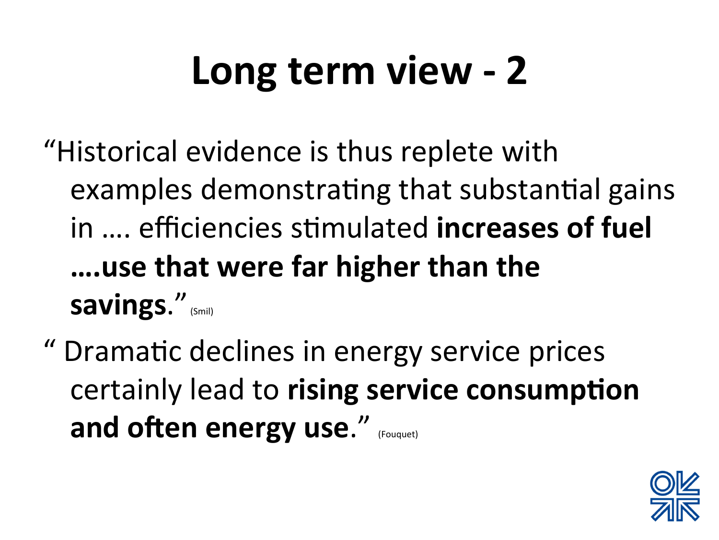### Long term view - 2

"Historical evidence is thus replete with examples demonstrating that substantial gains in .... efficiencies stimulated **increases of fuel ….use that were far higher than the savings."** (Smil)

" Drama9c declines in energy service prices certainly lead to rising service consumption **and often energy use."** (Fouquet)

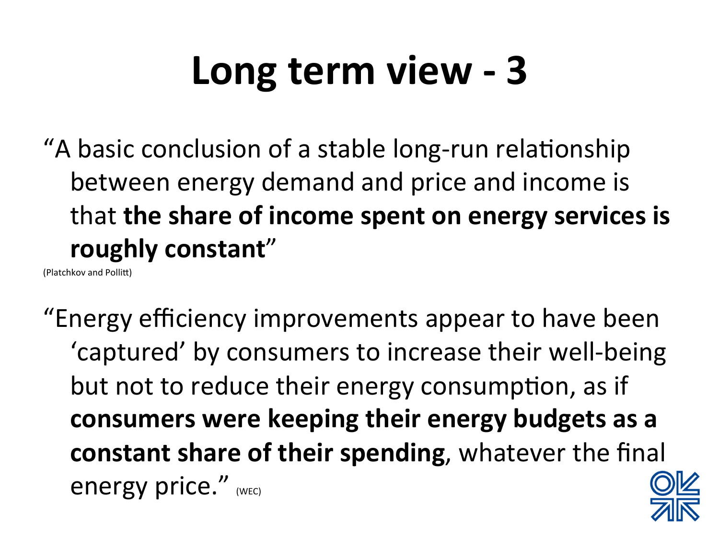#### Long term view - 3

"A basic conclusion of a stable long-run relationship between energy demand and price and income is that **the share of income spent on energy services is roughly constant**" 

(Platchkov and Pollitt)

"Energy efficiency improvements appear to have been 'captured' by consumers to increase their well-being but not to reduce their energy consumption, as if consumers were keeping their energy budgets as a **constant share of their spending**, whatever the final energy price." (WEC)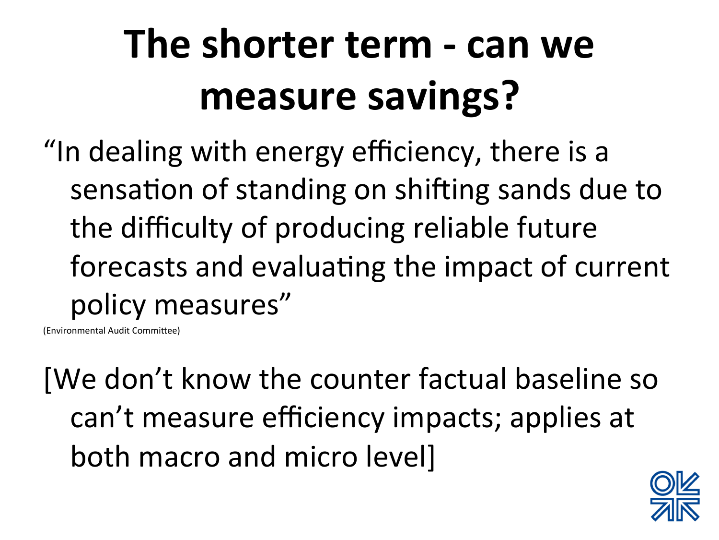### **The shorter term - can we measure savings?**

"In dealing with energy efficiency, there is a sensation of standing on shifting sands due to the difficulty of producing reliable future forecasts and evaluating the impact of current policy measures"

(Environmental Audit Committee)

[We don't know the counter factual baseline so can't measure efficiency impacts; applies at both macro and micro level]

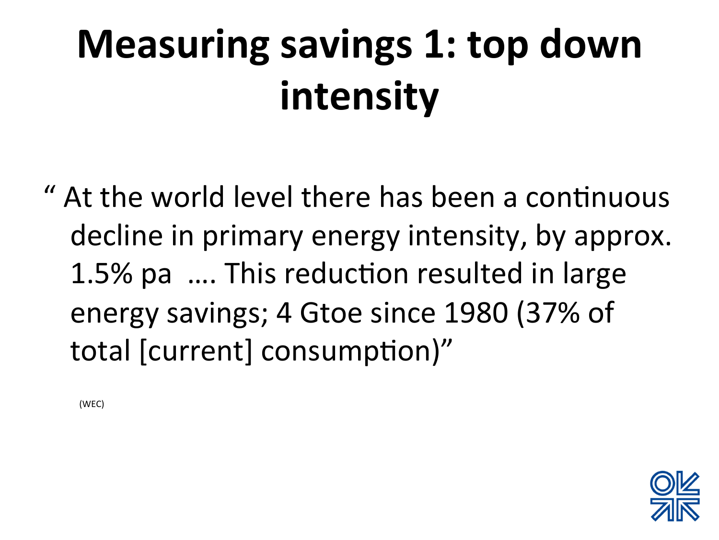# **Measuring savings 1: top down intensity**

" At the world level there has been a continuous decline in primary energy intensity, by approx. 1.5% pa .... This reduction resulted in large energy savings; 4 Gtoe since 1980 (37% of total [current] consumption)"

 (WEC)

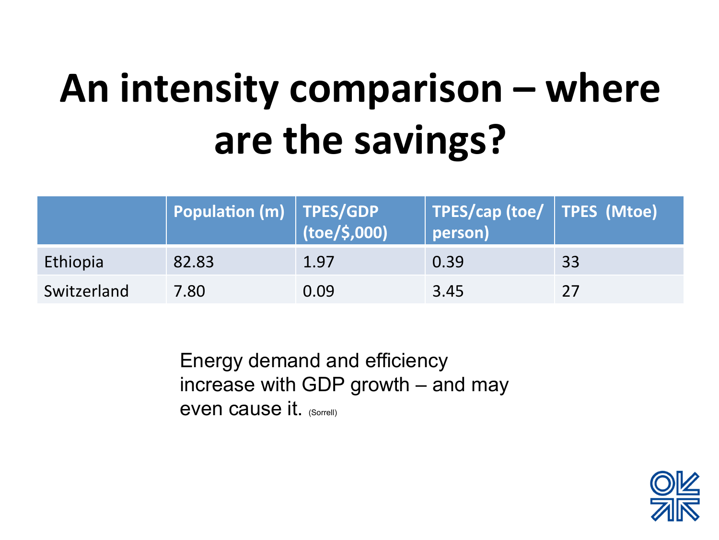# An intensity comparison – where are the savings?

|             | $\mid$ Population (m) $\mid$ TPES/GDP $\mid$ | $\vert$ (toe/\$,000) | TPES/cap (toe/   TPES (Mtoe)<br>person) |    |
|-------------|----------------------------------------------|----------------------|-----------------------------------------|----|
| Ethiopia    | 82.83                                        | 1.97                 | 0.39                                    | 33 |
| Switzerland | 7.80                                         | 0.09                 | 3.45                                    | 27 |

Energy demand and efficiency increase with GDP growth – and may even cause it. (Sorrell)

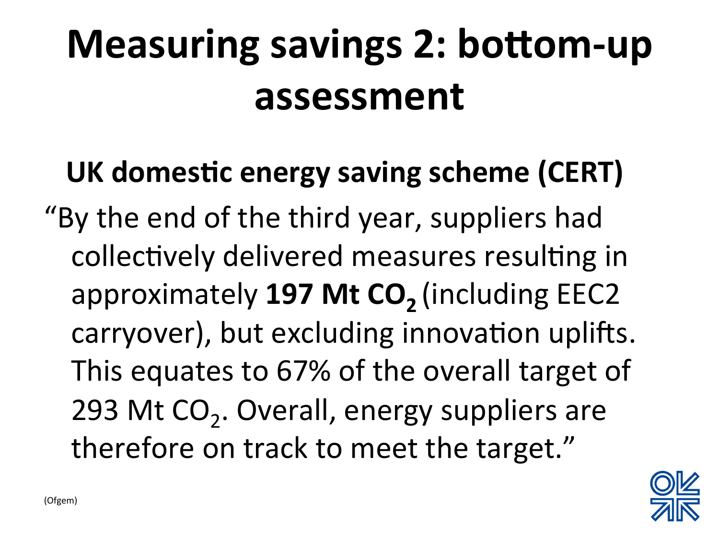### **Measuring savings 2: bottom-up** assessment

#### UK domestic energy saving scheme (CERT)

"By the end of the third year, suppliers had collectively delivered measures resulting in approximately **197 Mt CO<sub>2</sub>** (including EEC2 carryover), but excluding innovation uplifts. This equates to 67% of the overall target of 293 Mt  $CO<sub>2</sub>$ . Overall, energy suppliers are therefore on track to meet the target."

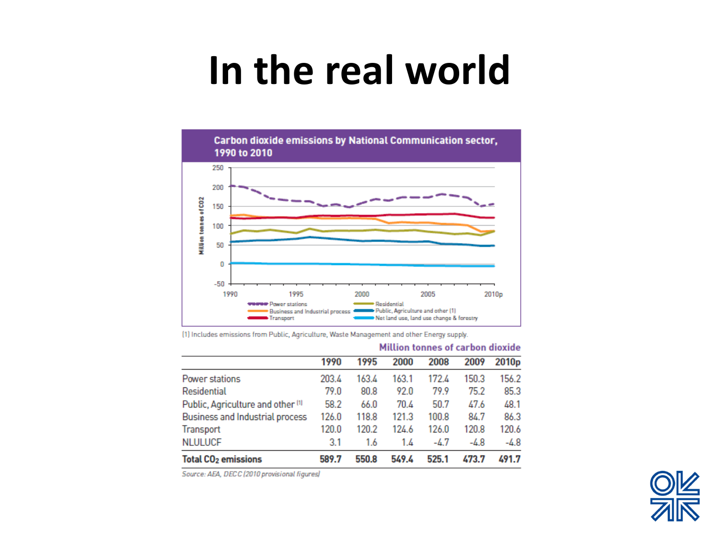#### **In the real world**



(1) Includes emissions from Public, Agriculture, Waste Management and other Energy supply.

|                                              |       |       | PIRTING CONTROL OF GUI MOTE MIDANG |       |        |                   |
|----------------------------------------------|-------|-------|------------------------------------|-------|--------|-------------------|
|                                              | 1990  | 1995  | 2000                               | 2008  | 2009   | 2010 <sub>p</sub> |
| Power stations                               | 203.4 | 163.4 | 163.1                              | 172.4 | 150.3  | 156.2             |
| Residential                                  | 79.0  | 80.8  | 92.0                               | 79.9  | 75.2   | 85.3              |
| Public, Agriculture and other <sup>[1]</sup> | 58.2  | 66.0  | 70.4                               | 50.7  | 47.6   | 48.1              |
| Business and Industrial process              | 126.0 | 118.8 | 121.3                              | 100.8 | 84.7   | 86.3              |
| Transport                                    | 120.0 | 120.2 | 124.6                              | 126.0 | 120.8  | 120.6             |
| <b>NLULUCF</b>                               | 3.1   | 1.6   | 1.4                                | -4.7  | $-4.8$ | $-4.8$            |
| <b>Total CO<sub>2</sub></b> emissions        | 589.7 | 550.8 | 549.4                              | 525.1 | 473.7  | 491.7             |

#### Million tonnes of carbon dioxide

Source: AEA, DECC (2010 provisional figures)

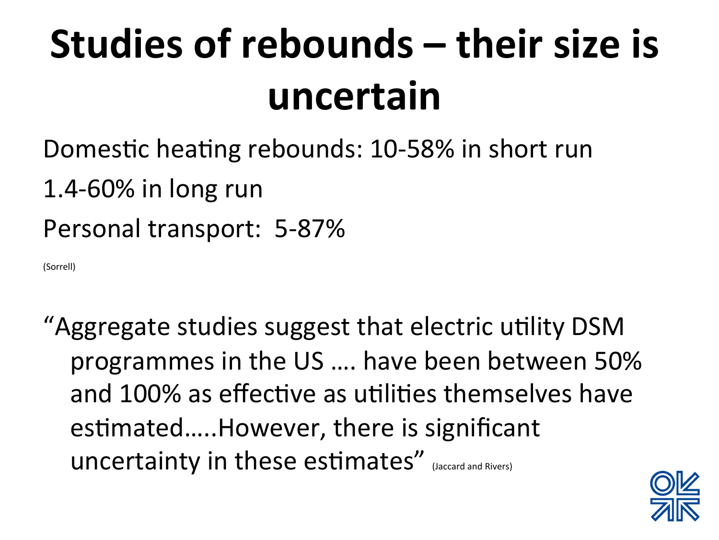# **Studies of rebounds – their size is uncertain**

- Domestic heating rebounds: 10-58% in short run
- 1.4-60% in long run
- Personal transport: 5-87%

(Sorrell) 

"Aggregate studies suggest that electric utility DSM programmes in the US .... have been between 50% and 100% as effective as utilities themselves have estimated.....However, there is significant uncertainty in these estimates" (Jaccard and Rivers)

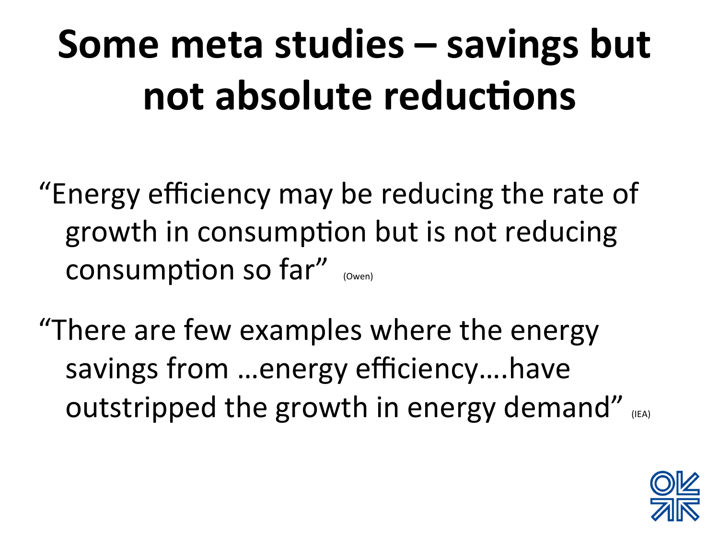# **Some meta studies – savings but** not absolute reductions

"Energy efficiency may be reducing the rate of growth in consumption but is not reducing consumption so far"  $_{(Owen)}$ 

"There are few examples where the energy savings from ...energy efficiency....have outstripped the growth in energy demand" (IEA)

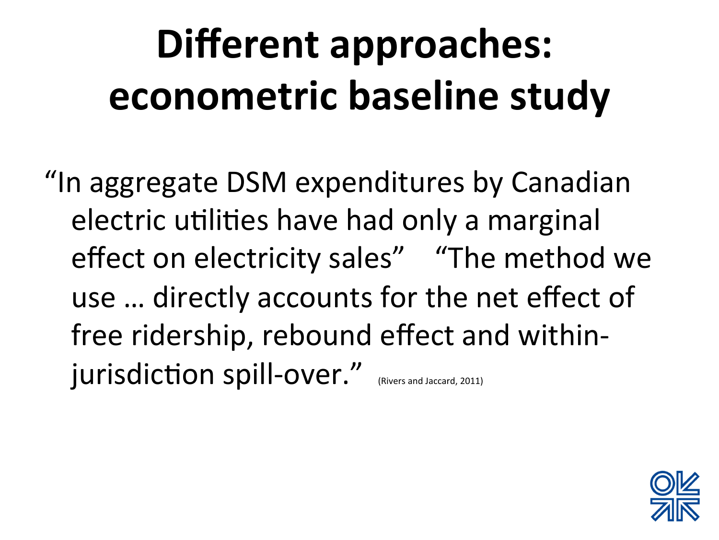# Different approaches: **econometric baseline study**

"In aggregate DSM expenditures by Canadian electric utilities have had only a marginal effect on electricity sales" "The method we use ... directly accounts for the net effect of free ridership, rebound effect and withinjurisdiction spill-over." (Rivers and Jaccard, 2011)

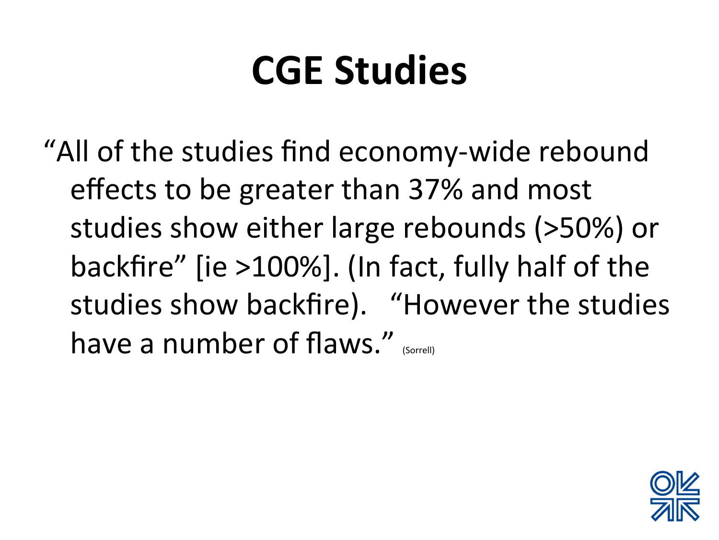#### **CGE Studies**

"All of the studies find economy-wide rebound effects to be greater than 37% and most studies show either large rebounds (>50%) or backfire" [ie >100%]. (In fact, fully half of the studies show backfire). "However the studies have a number of flaws." *(Sorrell)* 

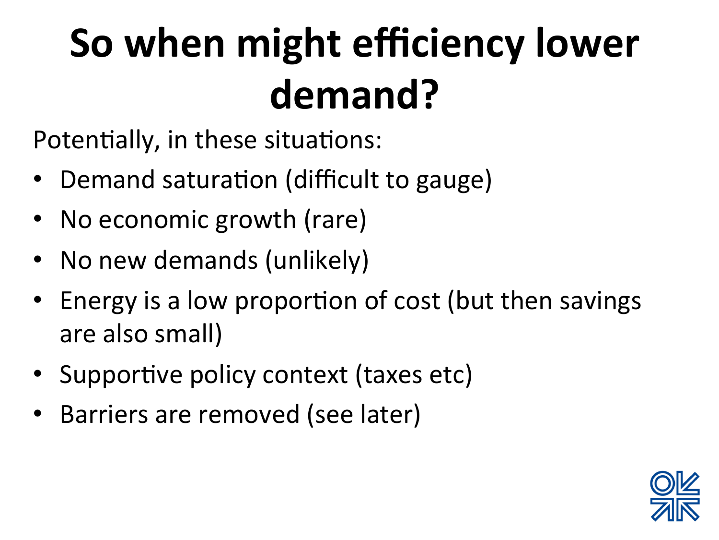## **So when might efficiency lower demand?**

Potentially, in these situations:

- Demand saturation (difficult to gauge)
- No economic growth (rare)
- No new demands (unlikely)
- Energy is a low proportion of cost (but then savings are also small)
- Supportive policy context (taxes etc)
- Barriers are removed (see later)

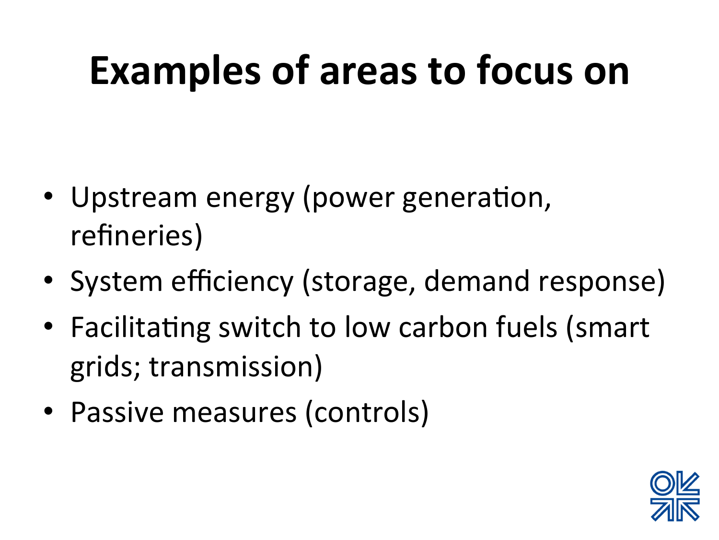#### **Examples of areas to focus on**

- Upstream energy (power generation, refineries)
- System efficiency (storage, demand response)
- Facilitating switch to low carbon fuels (smart grids; transmission)
- Passive measures (controls)

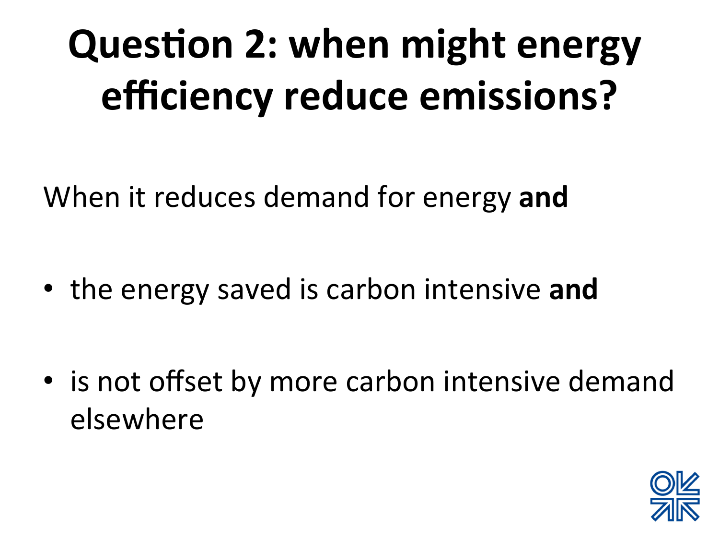# **Question 2: when might energy efficiency reduce emissions?**

When it reduces demand for energy and

• the energy saved is carbon intensive and

• is not offset by more carbon intensive demand elsewhere 

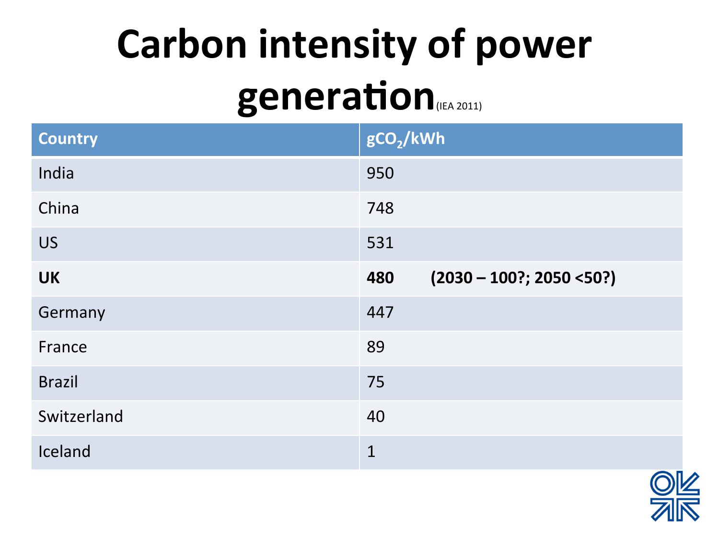# **Carbon intensity of power generation**(IEA 2011)

| <b>Country</b> | gCO <sub>2</sub> /kWh              |
|----------------|------------------------------------|
| India          | 950                                |
| China          | 748                                |
| <b>US</b>      | 531                                |
| <b>UK</b>      | $(2030 - 100$ ?; 2050 <50?)<br>480 |
| Germany        | 447                                |
| France         | 89                                 |
| <b>Brazil</b>  | 75                                 |
| Switzerland    | 40                                 |
| Iceland        | $\mathbf{1}$                       |

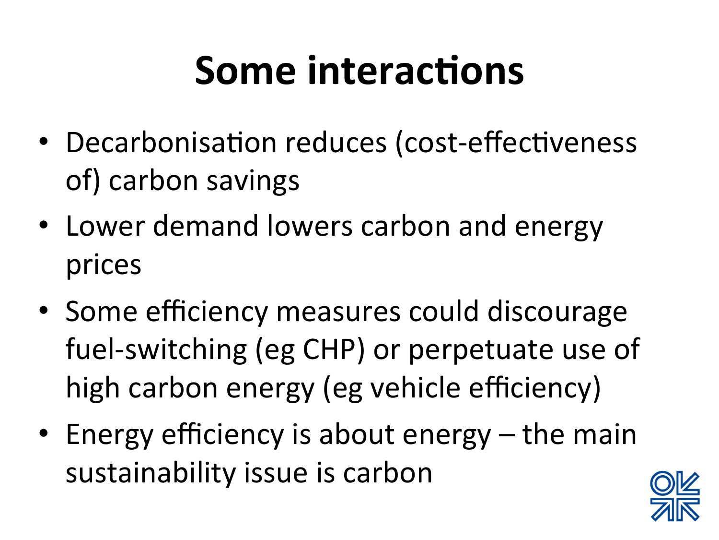#### **Some interactions**

- Decarbonisation reduces (cost-effectiveness of) carbon savings
- Lower demand lowers carbon and energy prices
- Some efficiency measures could discourage fuel-switching (eg CHP) or perpetuate use of high carbon energy (eg vehicle efficiency)
- Energy efficiency is about energy the main sustainability issue is carbon

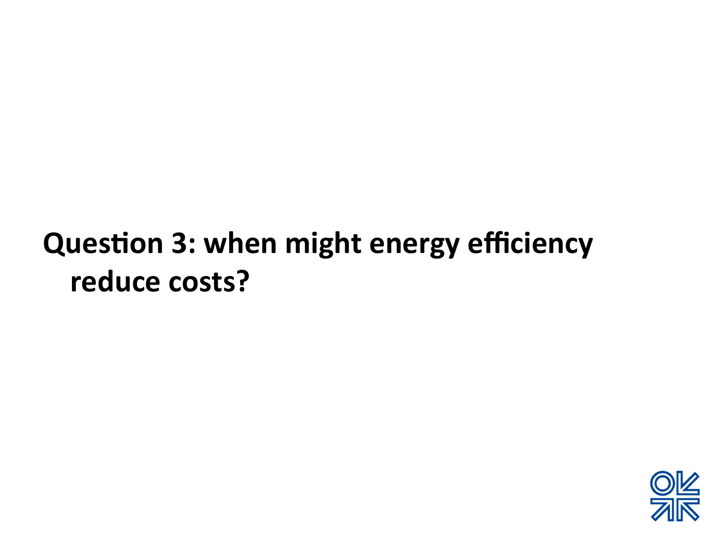#### **Question 3: when might energy efficiency** reduce costs?

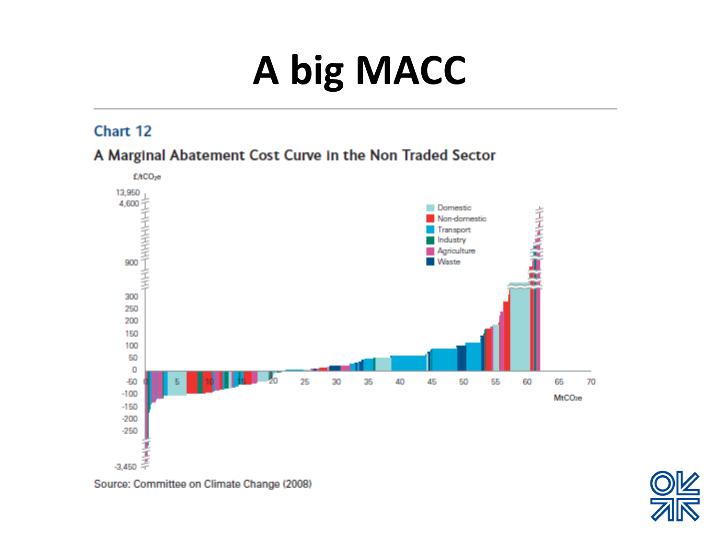# **A** big MACC

#### Chart 12





Source: Committee on Climate Change (2008)

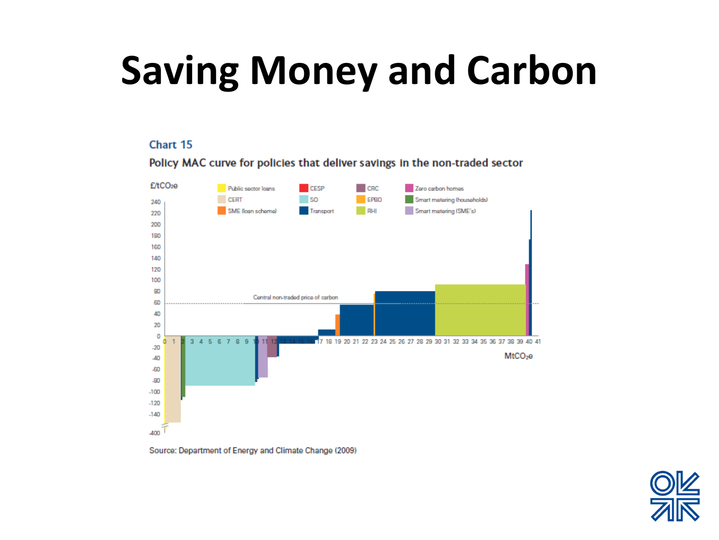#### **Saving Money and Carbon**

#### Chart 15



Policy MAC curve for policies that deliver savings in the non-traded sector

Source: Department of Energy and Climate Change (2009)

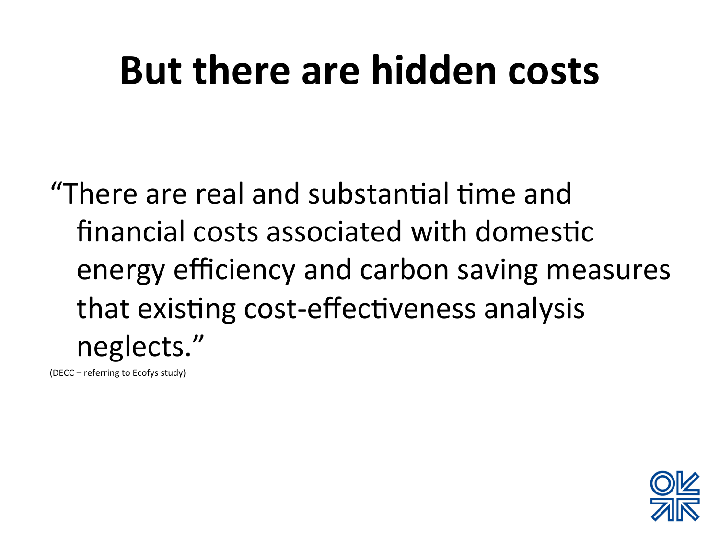#### **But there are hidden costs**

"There are real and substantial time and financial costs associated with domestic energy efficiency and carbon saving measures that existing cost-effectiveness analysis neglects." 

(DECC – referring to Ecofys study)

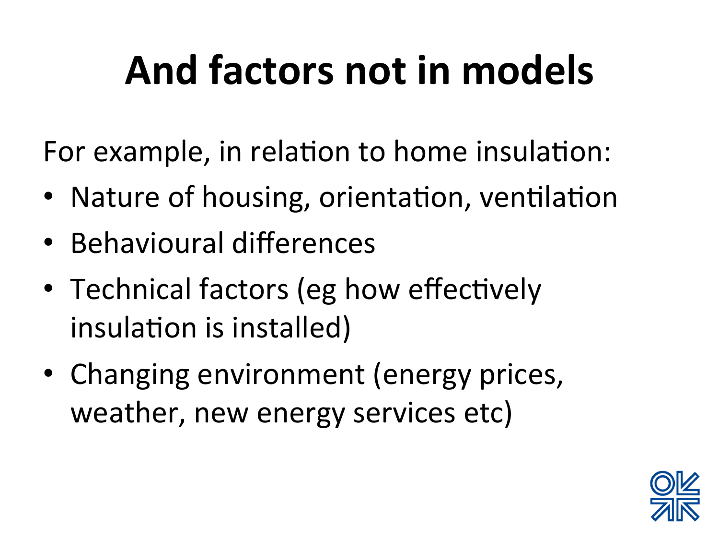## And factors not in models

For example, in relation to home insulation:

- Nature of housing, orientation, ventilation
- Behavioural differences
- Technical factors (eg how effectively insulation is installed)
- Changing environment (energy prices, weather, new energy services etc)

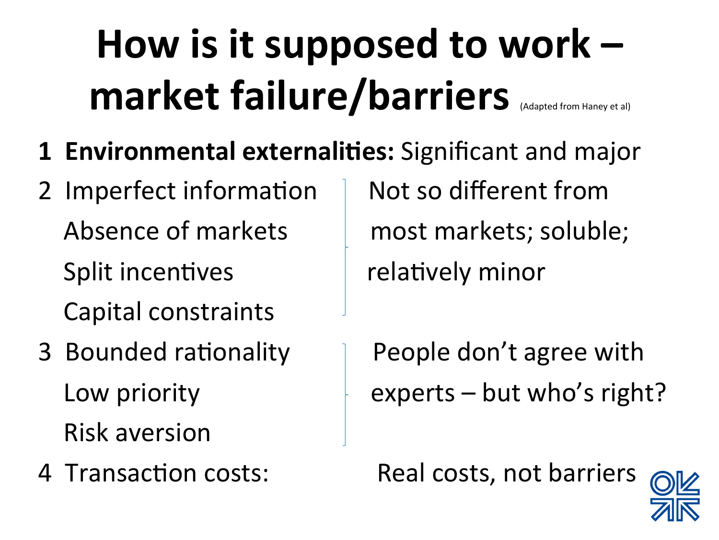# How is it supposed to work **market failure/barriers**

- **1 Environmental externalities:** Significant and major
- 2 Imperfect information | Not so different from Split incentives and the relatively minor Capital constraints
- Risk aversion
- 

Absence of markets and most markets; soluble;

3 Bounded rationality | People don't agree with Low priority  $\downarrow$  experts – but who's right?

4 Transaction costs: Real costs, not barriers

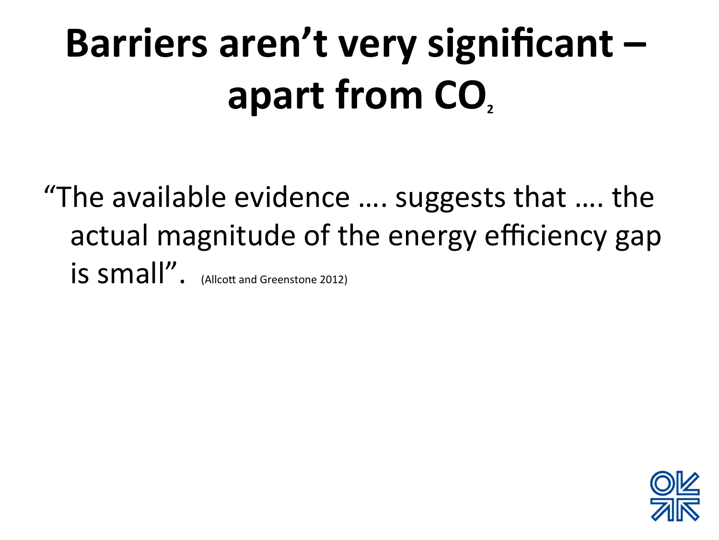# Barriers aren't very significant apart from CO<sub>2</sub>

"The available evidence  $\dots$  suggests that  $\dots$  the actual magnitude of the energy efficiency gap is small". (Allcott and Greenstone 2012)

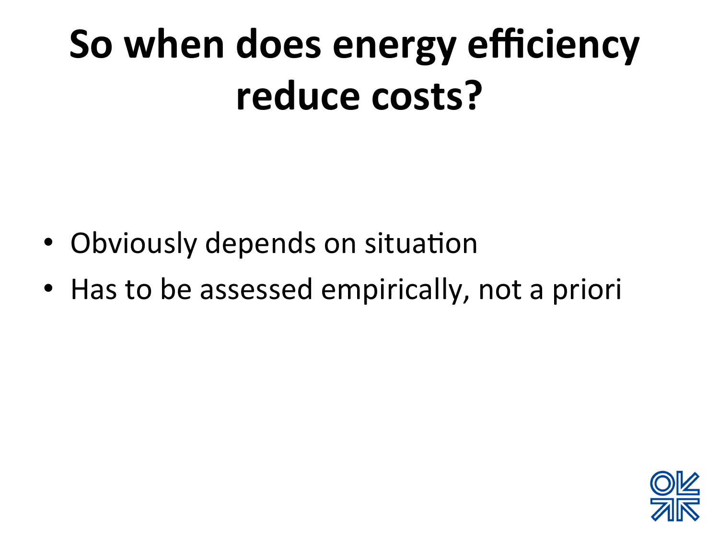### So when does energy efficiency reduce costs?

- Obviously depends on situation
- Has to be assessed empirically, not a priori

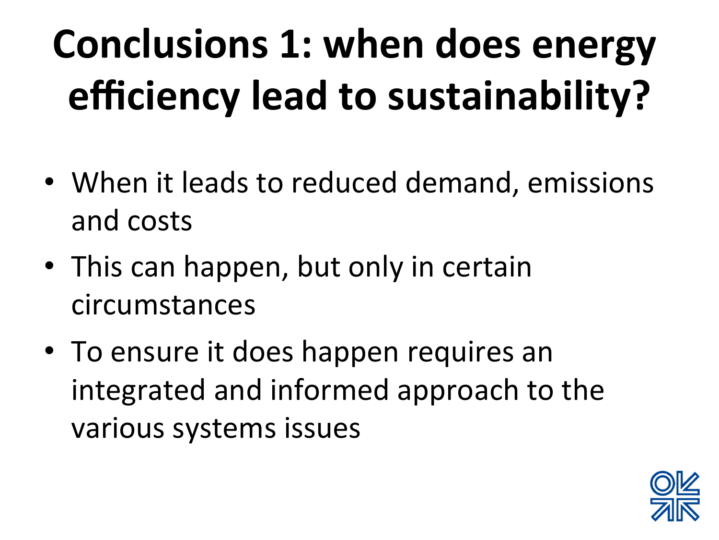# **Conclusions 1: when does energy efficiency lead to sustainability?**

- When it leads to reduced demand, emissions and costs
- This can happen, but only in certain circumstances
- To ensure it does happen requires an integrated and informed approach to the various systems issues